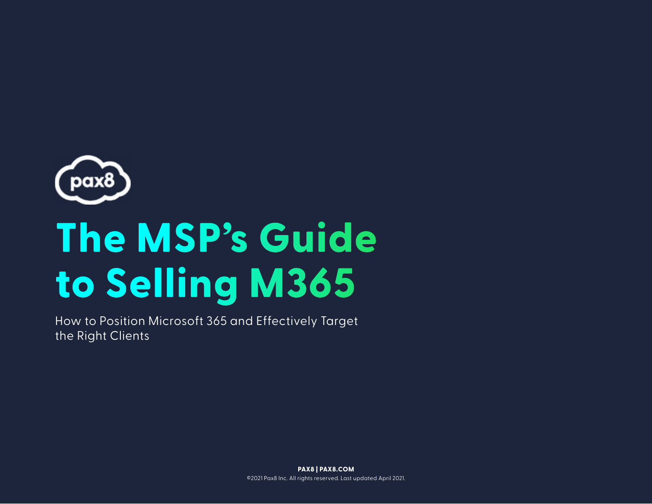

# **The MSP's Guide to Selling M365**

How to Position Microsoft 365 and Effectively Target the Right Clients

> **PAX8 | PAX8.COM** ©2021 Pax8 Inc. All rights reserved. Last updated April 2021.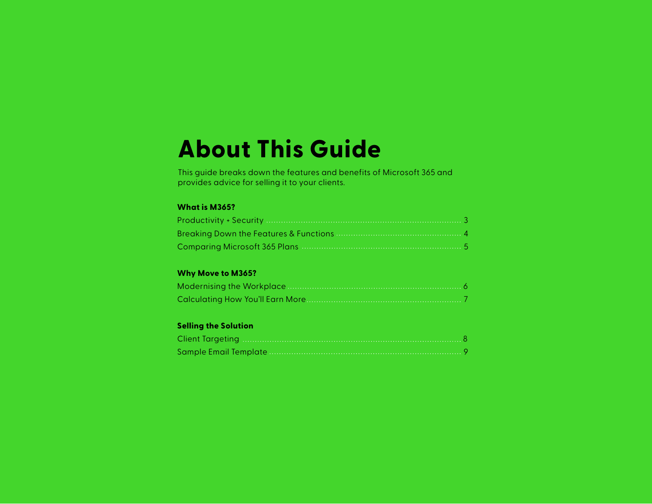## **About This Guide**

This guide breaks down the features and benefits of Microsoft 365 and provides advice for selling it to your clients.

#### **What is M365?**

| Comparing Microsoft 365 Plans manufactures and the comparison of 5 |  |
|--------------------------------------------------------------------|--|

#### **Why Move to M365?**

#### **Selling the Solution**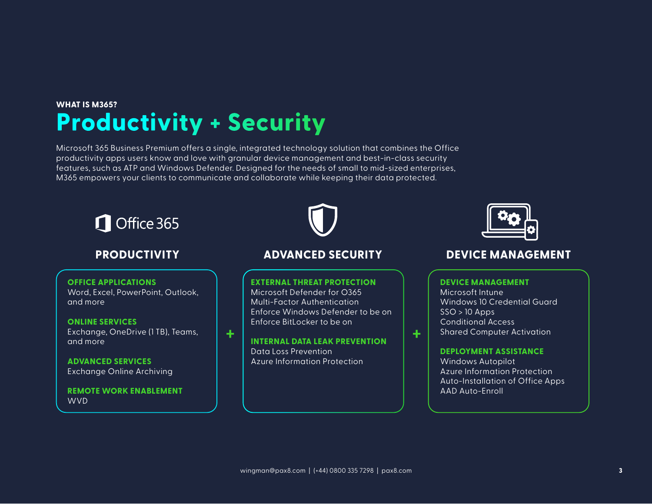### <span id="page-2-0"></span>**WHAT IS M365? Productivity + Security**

Microsoft 365 Business Premium offers a single, integrated technology solution that combines the Office productivity apps users know and love with granular device management and best-in-class security features, such as ATP and Windows Defender. Designed for the needs of small to mid-sized enterprises, M365 empowers your clients to communicate and collaborate while keeping their data protected.



### **PRODUCTIVITY**

#### **OFFICE APPLICATIONS**

Word, Excel, PowerPoint, Outlook, and more

**ONLINE SERVICES** Exchange, OneDrive (1 TB), Teams, and more

**ADVANCED SERVICES**  Exchange Online Archiving

#### **REMOTE WORK ENABLEMENT** WVD

#### **EXTERNAL THREAT PROTECTION** Microsoft Defender for O365 Multi-Factor Authentication Enforce Windows Defender to be on Enforce BitLocker to be on

 $+$  | INTERNAL DATA LEAK PREVENTION | + Data Loss Prevention

Azure Information Protection

#### **ADVANCED SECURITY DEVICE MANAGEMENT**

#### **DEVICE MANAGEMENT**

Microsoft Intune Windows 10 Credential Guard  $SSO > 10$  Apps Conditional Access

Shared Computer Activation

#### **DEPLOYMENT ASSISTANCE**

Windows Autopilot Azure Information Protection Auto-Installation of Office Apps AAD Auto-Enroll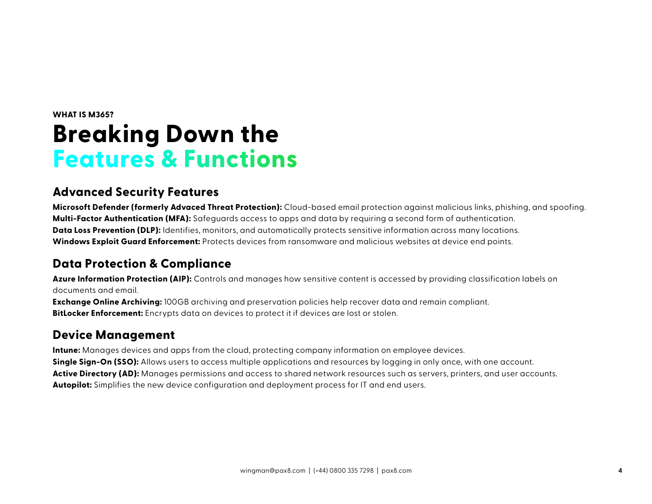### <span id="page-3-0"></span>**WHAT IS M365? Breaking Down the Features & Functions**

#### **Advanced Security Features**

**Microsoft Defender (formerly Advaced Threat Protection):** Cloud-based email protection against malicious links, phishing, and spoofing. **Multi-Factor Authentication (MFA):** Safeguards access to apps and data by requiring a second form of authentication. **Data Loss Prevention (DLP):** Identifies, monitors, and automatically protects sensitive information across many locations. **Windows Exploit Guard Enforcement:** Protects devices from ransomware and malicious websites at device end points.

### **Data Protection & Compliance**

**Azure Information Protection (AIP):** Controls and manages how sensitive content is accessed by providing classification labels on documents and email.

**Exchange Online Archiving:** 100GB archiving and preservation policies help recover data and remain compliant. **BitLocker Enforcement:** Encrypts data on devices to protect it if devices are lost or stolen.

### **Device Management**

**Intune:** Manages devices and apps from the cloud, protecting company information on employee devices. **Single Sign-On (SSO):** Allows users to access multiple applications and resources by logging in only once, with one account. **Active Directory (AD):** Manages permissions and access to shared network resources such as servers, printers, and user accounts. **Autopilot:** Simplifies the new device configuration and deployment process for IT and end users.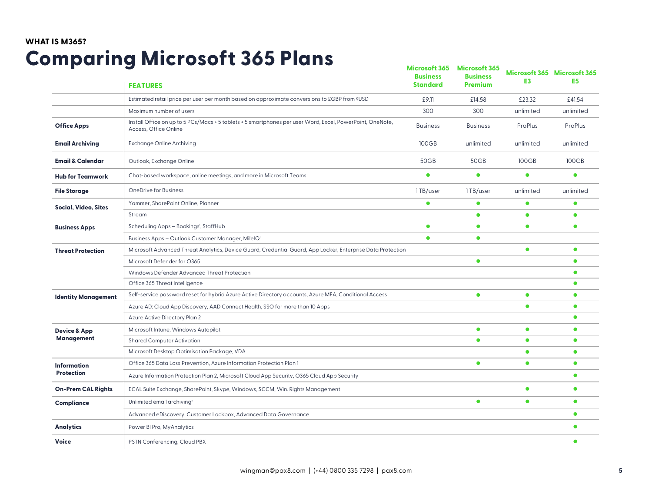### <span id="page-4-0"></span>**WHAT IS M365? Comparing Microsoft 365 Plans**

|                             | <b>FEATURES</b>                                                                                                                    | Microsoft 365<br><b>Business</b><br><b>Standard</b> | <b>Microsoft 365</b><br><b>Business</b><br><b>Premium</b> | E <sub>3</sub> | Microsoft 365 Microsoft 365<br>E <sub>5</sub> |
|-----------------------------|------------------------------------------------------------------------------------------------------------------------------------|-----------------------------------------------------|-----------------------------------------------------------|----------------|-----------------------------------------------|
|                             | Estimated retail price per user per month based on approximate conversions to £GBP from \$USD                                      | £9.11                                               | £14.58                                                    | £23.32         | £41.54                                        |
|                             | Maximum number of users                                                                                                            | 300                                                 | 300                                                       | unlimited      | unlimited                                     |
| <b>Office Apps</b>          | Install Office on up to 5 PCs/Macs + 5 tablets + 5 smartphones per user Word, Excel, PowerPoint, OneNote,<br>Access, Office Online | <b>Business</b>                                     | <b>Business</b>                                           | ProPlus        | ProPlus                                       |
| <b>Email Archiving</b>      | <b>Exchange Online Archiving</b>                                                                                                   | 100GB                                               | unlimited                                                 | unlimited      | unlimited                                     |
| <b>Email &amp; Calendar</b> | Outlook, Exchange Online                                                                                                           | 50GB                                                | 50GB                                                      | 100GB          | 100GB                                         |
| <b>Hub for Teamwork</b>     | Chat-based workspace, online meetings, and more in Microsoft Teams                                                                 | $\bullet$                                           | $\bullet$                                                 | $\bullet$      | $\bullet$                                     |
| <b>File Storage</b>         | <b>OneDrive for Business</b>                                                                                                       | 1TB/user                                            | 1TB/user                                                  | unlimited      | unlimited                                     |
| Social, Video, Sites        | Yammer, SharePoint Online, Planner                                                                                                 | $\bullet$                                           | $\bullet$                                                 | $\bullet$      | $\bullet$                                     |
|                             | Stream                                                                                                                             |                                                     | $\bullet$                                                 | $\bullet$      | $\bullet$                                     |
| <b>Business Apps</b>        | Scheduling Apps - Bookings', StaffHub                                                                                              | $\bullet$                                           | $\bullet$                                                 | $\bullet$      | $\bullet$                                     |
|                             | Business Apps - Outlook Customer Manager, MileIQ'                                                                                  | $\bullet$                                           | $\bullet$                                                 |                |                                               |
| <b>Threat Protection</b>    | Microsoft Advanced Threat Analytics, Device Guard, Credential Guard, App Locker, Enterprise Data Protection                        |                                                     |                                                           | $\bullet$      | $\bullet$                                     |
|                             | Microsoft Defender for O365                                                                                                        |                                                     | $\bullet$                                                 |                | $\bullet$                                     |
|                             | Windows Defender Advanced Threat Protection                                                                                        |                                                     |                                                           |                | $\bullet$                                     |
|                             | Office 365 Threat Intelligence                                                                                                     |                                                     |                                                           |                | $\bullet$                                     |
| <b>Identity Management</b>  | Self-service password reset for hybrid Azure Active Directory accounts, Azure MFA, Conditional Access                              |                                                     | $\bullet$                                                 | $\bullet$      | $\bullet$                                     |
|                             | Azure AD: Cloud App Discovery, AAD Connect Health, SSO for more than 10 Apps                                                       |                                                     |                                                           | $\bullet$      | $\bullet$                                     |
|                             | Azure Active Directory Plan 2                                                                                                      |                                                     |                                                           |                | $\bullet$                                     |
| <b>Device &amp; App</b>     | Microsoft Intune, Windows Autopilot                                                                                                |                                                     | $\bullet$                                                 | О              | $\bullet$                                     |
| <b>Management</b>           | <b>Shared Computer Activation</b>                                                                                                  |                                                     | $\bullet$                                                 | $\bullet$      | $\bullet$                                     |
|                             | Microsoft Desktop Optimisation Package, VDA                                                                                        |                                                     |                                                           | $\bullet$      | $\bullet$                                     |
| <b>Information</b>          | Office 365 Data Loss Prevention, Azure Information Protection Plan 1                                                               |                                                     | $\bullet$                                                 | $\bullet$      | $\bullet$                                     |
| <b>Protection</b>           | Azure Information Protection Plan 2, Microsoft Cloud App Security, O365 Cloud App Security                                         |                                                     |                                                           |                | $\bullet$                                     |
| <b>On-Prem CAL Rights</b>   | ECAL Suite Exchange, SharePoint, Skype, Windows, SCCM, Win. Rights Management                                                      |                                                     |                                                           | $\bullet$      | $\bullet$                                     |
| Compliance                  | Unlimited email archiving <sup>2</sup>                                                                                             |                                                     | $\bullet$                                                 | $\bullet$      | $\bullet$                                     |
|                             | Advanced eDiscovery, Customer Lockbox, Advanced Data Governance                                                                    |                                                     |                                                           |                | $\bullet$                                     |
| <b>Analytics</b>            | Power BI Pro, MyAnalytics                                                                                                          |                                                     |                                                           |                | $\bullet$                                     |
| <b>Voice</b>                | PSTN Conferencing, Cloud PBX                                                                                                       |                                                     |                                                           |                | $\bullet$                                     |
|                             |                                                                                                                                    |                                                     |                                                           |                |                                               |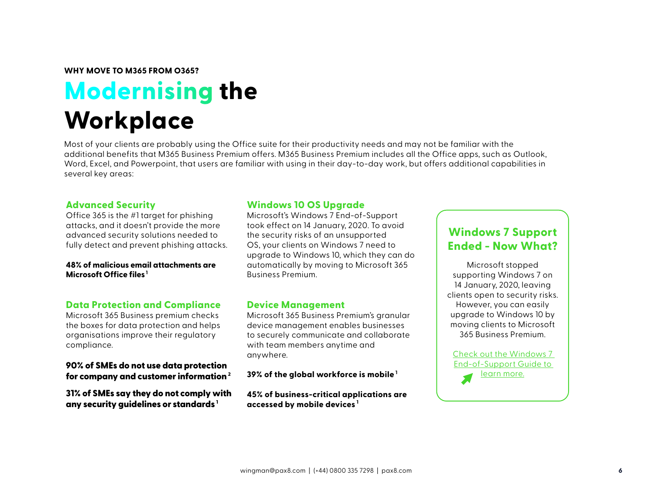#### <span id="page-5-0"></span>**WHY MOVE TO M365 FROM O365?**

## **Modernising the Workplace**

Most of your clients are probably using the Office suite for their productivity needs and may not be familiar with the additional benefits that M365 Business Premium offers. M365 Business Premium includes all the Office apps, such as Outlook, Word, Excel, and Powerpoint, that users are familiar with using in their day-to-day work, but offers additional capabilities in several key areas:

#### **Advanced Security**

Office 365 is the #1 target for phishing attacks, and it doesn't provide the more advanced security solutions needed to fully detect and prevent phishing attacks.

**48% of malicious email attachments are Microsoft Office files <sup>1</sup>**

#### **Data Protection and Compliance**

Microsoft 365 Business premium checks the boxes for data protection and helps organisations improve their regulatory compliance.

90% of SMEs do not use data protection for company and customer information $2$ 

31% of SMEs say they do not comply with any security quidelines or standards  $^1$ 

#### **Windows 10 OS Upgrade**

Microsoft's Windows 7 End-of-Support took effect on 14 January, 2020. To avoid the security risks of an unsupported OS, your clients on Windows 7 need to upgrade to Windows 10, which they can do automatically by moving to Microsoft 365 Business Premium.

#### **Device Management**

Microsoft 365 Business Premium's granular device management enables businesses to securely communicate and collaborate with team members anytime and anywhere.

**39% of the global workforce is mobile <sup>1</sup>**

**45% of business-critical applications are accessed by mobile devices <sup>1</sup>**

#### **[Windows 7 Support](https://usc.pax8.com/resource/display/43383)  Ended - Now What?**

Microsoft stopped supporting Windows 7 on 14 January, 2020, leaving clients open to security risks. However, you can easily upgrade to Windows 10 by moving clients to Microsoft 365 Business Premium.

Check out the Windows 7 End-of-Support Guide to learn more.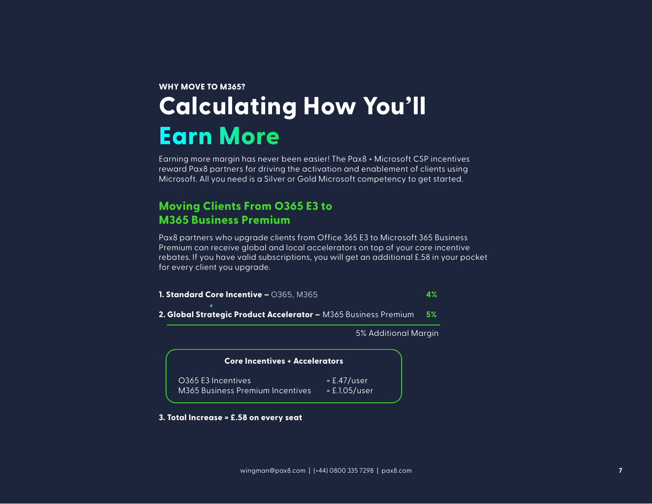### <span id="page-6-0"></span>**WHY MOVE TO M365? Calculating How You'll Earn More**

Earning more margin has never been easier! The Pax8 + Microsoft CSP incentives reward Pax8 partners for driving the activation and enablement of clients using Microsoft. All you need is a Silver or Gold Microsoft competency to get started.

#### **Moving Clients From O365 E3 to M365 Business Premium**

Pax8 partners who upgrade clients from Office 365 E3 to Microsoft 365 Business Premium can receive global and local accelerators on top of your core incentive rebates. If you have valid subscriptions, you will get an additional £.58 in your pocket for every client you upgrade.

**1. Standard Core Incentive – 0365, M365 4%**

**2. Global Strategic Product Accelerator –** M365 Business Premium **5%**

5% Additional Margin



#### **3. Total Increase = £.58 on every seat**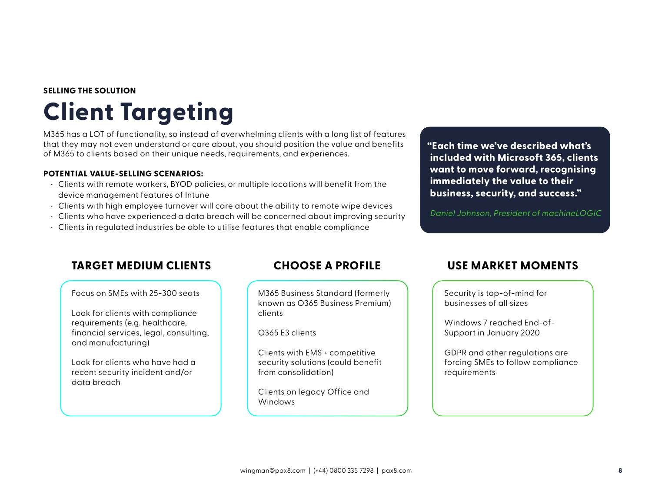#### <span id="page-7-0"></span>**SELLING THE SOLUTION**

## **Client Targeting**

M365 has a LOT of functionality, so instead of overwhelming clients with a long list of features that they may not even understand or care about, you should position the value and benefits of M365 to clients based on their unique needs, requirements, and experiences.

#### **POTENTIAL VALUE-SELLING SCENARIOS:**

- Clients with remote workers, BYOD policies, or multiple locations will benefit from the device management features of Intune
- Clients with high employee turnover will care about the ability to remote wipe devices
- Clients who have experienced a data breach will be concerned about improving security
- Clients in regulated industries be able to utilise features that enable compliance

**"Each time we've described what's included with Microsoft 365, clients want to move forward, recognising immediately the value to their business, security, and success."**

Daniel Johnson, President of machineLOGIC

#### **TARGET MEDIUM CLIENTS CHOOSE A PROFILE USE MARKET MOMENTS**

Focus on SMEs with 25-300 seats

Look for clients with compliance requirements (e.g. healthcare, financial services, legal, consulting, and manufacturing)

Look for clients who have had a recent security incident and/or data breach

M365 Business Standard (formerly known as O365 Business Premium) clients

O365 E3 clients

Clients with EMS + competitive security solutions (could benefit from consolidation)

Clients on legacy Office and Windows

Security is top-of-mind for businesses of all sizes

Windows 7 reached End-of-Support in January 2020

GDPR and other regulations are forcing SMEs to follow compliance requirements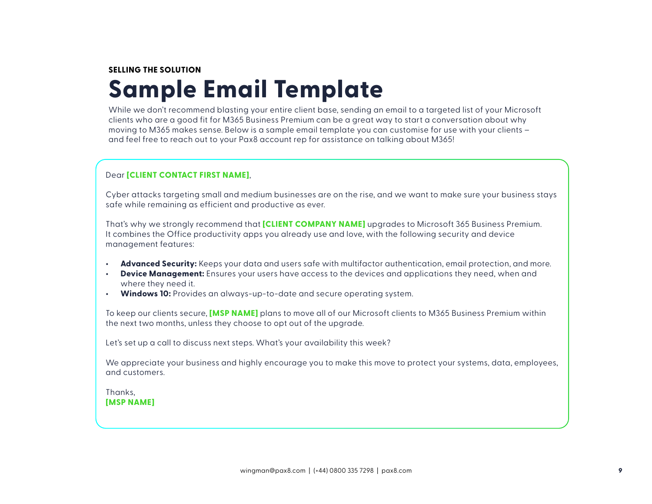#### <span id="page-8-0"></span>**SELLING THE SOLUTION**

## **Sample Email Template**

While we don't recommend blasting your entire client base, sending an email to a targeted list of your Microsoft clients who are a good fit for M365 Business Premium can be a great way to start a conversation about why moving to M365 makes sense. Below is a sample email template you can customise for use with your clients – and feel free to reach out to your Pax8 account rep for assistance on talking about M365!

#### Dear **[CLIENT CONTACT FIRST NAME]**,

Cyber attacks targeting small and medium businesses are on the rise, and we want to make sure your business stays safe while remaining as efficient and productive as ever.

That's why we strongly recommend that **[CLIENT COMPANY NAME]** upgrades to Microsoft 365 Business Premium. It combines the Office productivity apps you already use and love, with the following security and device management features:

- **• Advanced Security:** Keeps your data and users safe with multifactor authentication, email protection, and more.
- **• Device Management:** Ensures your users have access to the devices and applications they need, when and where they need it.
- **• Windows 10:** Provides an always-up-to-date and secure operating system.

To keep our clients secure, **[MSP NAME]** plans to move all of our Microsoft clients to M365 Business Premium within the next two months, unless they choose to opt out of the upgrade.

Let's set up a call to discuss next steps. What's your availability this week?

We appreciate your business and highly encourage you to make this move to protect your systems, data, employees, and customers.

Thanks, **[MSP NAME]**